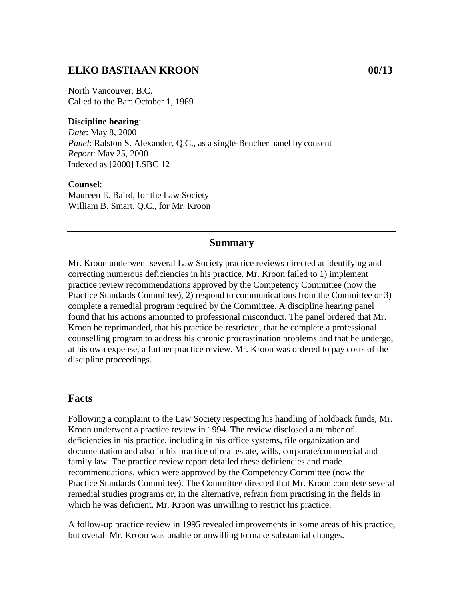## **ELKO BASTIAAN KROON 00/13**

North Vancouver, B.C. Called to the Bar: October 1, 1969

#### **Discipline hearing**:

*Date*: May 8, 2000 *Panel*: Ralston S. Alexander, Q.C., as a single-Bencher panel by consent *Report*: May 25, 2000 Indexed as [2000] LSBC 12

#### **Counsel**:

Maureen E. Baird, for the Law Society William B. Smart, Q.C., for Mr. Kroon

### **Summary**

Mr. Kroon underwent several Law Society practice reviews directed at identifying and correcting numerous deficiencies in his practice. Mr. Kroon failed to 1) implement practice review recommendations approved by the Competency Committee (now the Practice Standards Committee), 2) respond to communications from the Committee or 3) complete a remedial program required by the Committee. A discipline hearing panel found that his actions amounted to professional misconduct. The panel ordered that Mr. Kroon be reprimanded, that his practice be restricted, that he complete a professional counselling program to address his chronic procrastination problems and that he undergo, at his own expense, a further practice review. Mr. Kroon was ordered to pay costs of the discipline proceedings.

### **Facts**

Following a complaint to the Law Society respecting his handling of holdback funds, Mr. Kroon underwent a practice review in 1994. The review disclosed a number of deficiencies in his practice, including in his office systems, file organization and documentation and also in his practice of real estate, wills, corporate/commercial and family law. The practice review report detailed these deficiencies and made recommendations, which were approved by the Competency Committee (now the Practice Standards Committee). The Committee directed that Mr. Kroon complete several remedial studies programs or, in the alternative, refrain from practising in the fields in which he was deficient. Mr. Kroon was unwilling to restrict his practice.

A follow-up practice review in 1995 revealed improvements in some areas of his practice, but overall Mr. Kroon was unable or unwilling to make substantial changes.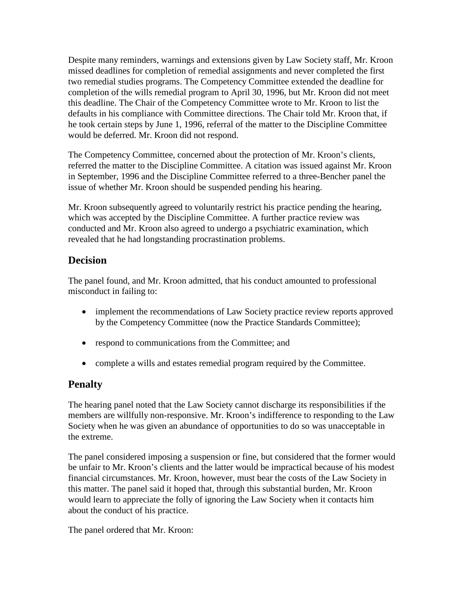Despite many reminders, warnings and extensions given by Law Society staff, Mr. Kroon missed deadlines for completion of remedial assignments and never completed the first two remedial studies programs. The Competency Committee extended the deadline for completion of the wills remedial program to April 30, 1996, but Mr. Kroon did not meet this deadline. The Chair of the Competency Committee wrote to Mr. Kroon to list the defaults in his compliance with Committee directions. The Chair told Mr. Kroon that, if he took certain steps by June 1, 1996, referral of the matter to the Discipline Committee would be deferred. Mr. Kroon did not respond.

The Competency Committee, concerned about the protection of Mr. Kroon's clients, referred the matter to the Discipline Committee. A citation was issued against Mr. Kroon in September, 1996 and the Discipline Committee referred to a three-Bencher panel the issue of whether Mr. Kroon should be suspended pending his hearing.

Mr. Kroon subsequently agreed to voluntarily restrict his practice pending the hearing, which was accepted by the Discipline Committee. A further practice review was conducted and Mr. Kroon also agreed to undergo a psychiatric examination, which revealed that he had longstanding procrastination problems.

## **Decision**

The panel found, and Mr. Kroon admitted, that his conduct amounted to professional misconduct in failing to:

- implement the recommendations of Law Society practice review reports approved by the Competency Committee (now the Practice Standards Committee);
- respond to communications from the Committee; and
- complete a wills and estates remedial program required by the Committee.

# **Penalty**

The hearing panel noted that the Law Society cannot discharge its responsibilities if the members are willfully non-responsive. Mr. Kroon's indifference to responding to the Law Society when he was given an abundance of opportunities to do so was unacceptable in the extreme.

The panel considered imposing a suspension or fine, but considered that the former would be unfair to Mr. Kroon's clients and the latter would be impractical because of his modest financial circumstances. Mr. Kroon, however, must bear the costs of the Law Society in this matter. The panel said it hoped that, through this substantial burden, Mr. Kroon would learn to appreciate the folly of ignoring the Law Society when it contacts him about the conduct of his practice.

The panel ordered that Mr. Kroon: